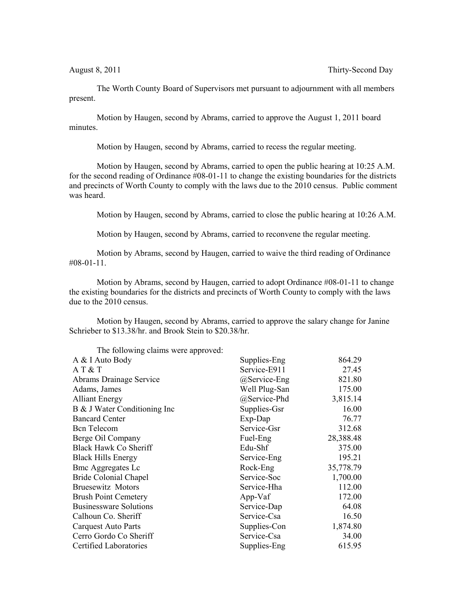The Worth County Board of Supervisors met pursuant to adjournment with all members present.

Motion by Haugen, second by Abrams, carried to approve the August 1, 2011 board minutes.

Motion by Haugen, second by Abrams, carried to recess the regular meeting.

Motion by Haugen, second by Abrams, carried to open the public hearing at 10:25 A.M. for the second reading of Ordinance #08-01-11 to change the existing boundaries for the districts and precincts of Worth County to comply with the laws due to the 2010 census. Public comment was heard.

Motion by Haugen, second by Abrams, carried to close the public hearing at 10:26 A.M.

Motion by Haugen, second by Abrams, carried to reconvene the regular meeting.

Motion by Abrams, second by Haugen, carried to waive the third reading of Ordinance  $\#08-01-11$ .

Motion by Abrams, second by Haugen, carried to adopt Ordinance #08-01-11 to change the existing boundaries for the districts and precincts of Worth County to comply with the laws due to the 2010 census.

Motion by Haugen, second by Abrams, carried to approve the salary change for Janine Schrieber to \$13.38/hr. and Brook Stein to \$20.38/hr.

| The following claims were approved: |               |           |
|-------------------------------------|---------------|-----------|
| A & I Auto Body                     | Supplies-Eng  | 864.29    |
| AT & T                              | Service-E911  | 27.45     |
| Abrams Drainage Service             | @Service-Eng  | 821.80    |
| Adams, James                        | Well Plug-San | 175.00    |
| <b>Alliant Energy</b>               | @Service-Phd  | 3,815.14  |
| B & J Water Conditioning Inc        | Supplies-Gsr  | 16.00     |
| <b>Bancard Center</b>               | Exp-Dap       | 76.77     |
| <b>Bcn</b> Telecom                  | Service-Gsr   | 312.68    |
| Berge Oil Company                   | Fuel-Eng      | 28,388.48 |
| Black Hawk Co Sheriff               | Edu-Shf       | 375.00    |
| <b>Black Hills Energy</b>           | Service-Eng   | 195.21    |
| <b>Bmc Aggregates Lc</b>            | Rock-Eng      | 35,778.79 |
| <b>Bride Colonial Chapel</b>        | Service-Soc   | 1,700.00  |
| <b>Bruesewitz Motors</b>            | Service-Hha   | 112.00    |
| <b>Brush Point Cemetery</b>         | App-Vaf       | 172.00    |
| <b>Businessware Solutions</b>       | Service-Dap   | 64.08     |
| Calhoun Co. Sheriff                 | Service-Csa   | 16.50     |
| <b>Carquest Auto Parts</b>          | Supplies-Con  | 1,874.80  |
| Cerro Gordo Co Sheriff              | Service-Csa   | 34.00     |
| Certified Laboratories              | Supplies-Eng  | 615.95    |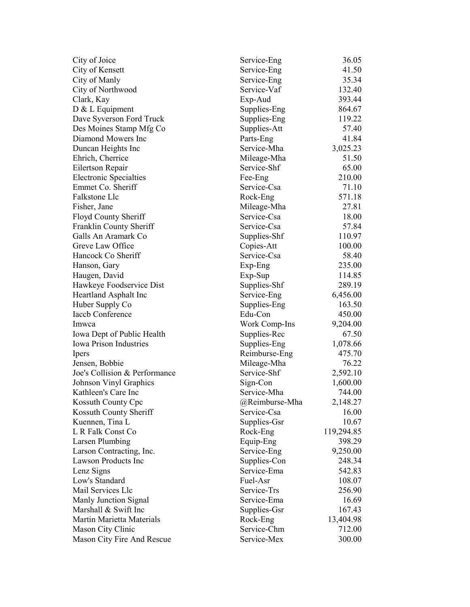| City of Joice                                 | Service-Eng             | 36.05      |
|-----------------------------------------------|-------------------------|------------|
| City of Kensett                               | Service-Eng             | 41.50      |
| City of Manly                                 | Service-Eng             | 35.34      |
| City of Northwood                             | Service-Vaf             | 132.40     |
| Clark, Kay                                    | Exp-Aud                 | 393.44     |
| $D & L$ Equipment                             | Supplies-Eng            | 864.67     |
| Dave Syverson Ford Truck                      | Supplies-Eng            | 119.22     |
| Des Moines Stamp Mfg Co                       | Supplies-Att            | 57.40      |
| Diamond Mowers Inc                            | Parts-Eng               | 41.84      |
| Duncan Heights Inc                            | Service-Mha             | 3,025.23   |
| Ehrich, Cherrice                              | Mileage-Mha             | 51.50      |
| Eilertson Repair                              | Service-Shf             | 65.00      |
| <b>Electronic Specialties</b>                 | Fee-Eng                 | 210.00     |
| Emmet Co. Sheriff                             | Service-Csa             | 71.10      |
| Falkstone Llc                                 | Rock-Eng                | 571.18     |
| Fisher, Jane                                  | Mileage-Mha             | 27.81      |
| Floyd County Sheriff                          | Service-Csa             | 18.00      |
| Franklin County Sheriff                       | Service-Csa             | 57.84      |
| Galls An Aramark Co                           | Supplies-Shf            | 110.97     |
| Greve Law Office                              | Copies-Att              | 100.00     |
| Hancock Co Sheriff                            | Service-Csa             | 58.40      |
| Hanson, Gary                                  | Exp-Eng                 | 235.00     |
| Haugen, David                                 | Exp-Sup                 | 114.85     |
| Hawkeye Foodservice Dist                      | Supplies-Shf            | 289.19     |
| Heartland Asphalt Inc                         | Service-Eng             | 6,456.00   |
| Huber Supply Co                               | Supplies-Eng            | 163.50     |
| <b>Iaccb Conference</b>                       | Edu-Con                 | 450.00     |
| Imwca                                         | Work Comp-Ins           | 9,204.00   |
| Iowa Dept of Public Health                    | Supplies-Rec            | 67.50      |
| <b>Iowa Prison Industries</b>                 | Supplies-Eng            | 1,078.66   |
|                                               | Reimburse-Eng           | 475.70     |
| <b>Ipers</b><br>Jensen, Bobbie                | Mileage-Mha             | 76.22      |
| Joe's Collision & Performance                 | Service-Shf             | 2,592.10   |
|                                               |                         | 1,600.00   |
| Johnson Vinyl Graphics<br>Kathleen's Care Inc | Sign-Con<br>Service-Mha | 744.00     |
|                                               |                         |            |
| Kossuth County Cpc                            | @Reimburse-Mha          | 2,148.27   |
| Kossuth County Sheriff                        | Service-Csa             | 16.00      |
| Kuennen, Tina L                               | Supplies-Gsr            | 10.67      |
| L R Falk Const Co                             | Rock-Eng                | 119,294.85 |
| <b>Larsen Plumbing</b>                        | Equip-Eng               | 398.29     |
| Larson Contracting, Inc.                      | Service-Eng             | 9,250.00   |
| <b>Lawson Products Inc</b>                    | Supplies-Con            | 248.34     |
| Lenz Signs                                    | Service-Ema             | 542.83     |
| Low's Standard                                | Fuel-Asr                | 108.07     |
| Mail Services Llc                             | Service-Trs             | 256.90     |
| Manly Junction Signal                         | Service-Ema             | 16.69      |
| Marshall & Swift Inc                          | Supplies-Gsr            | 167.43     |
| Martin Marietta Materials                     | Rock-Eng                | 13,404.98  |
| Mason City Clinic                             | Service-Chm             | 712.00     |
| Mason City Fire And Rescue                    | Service-Mex             | 300.00     |